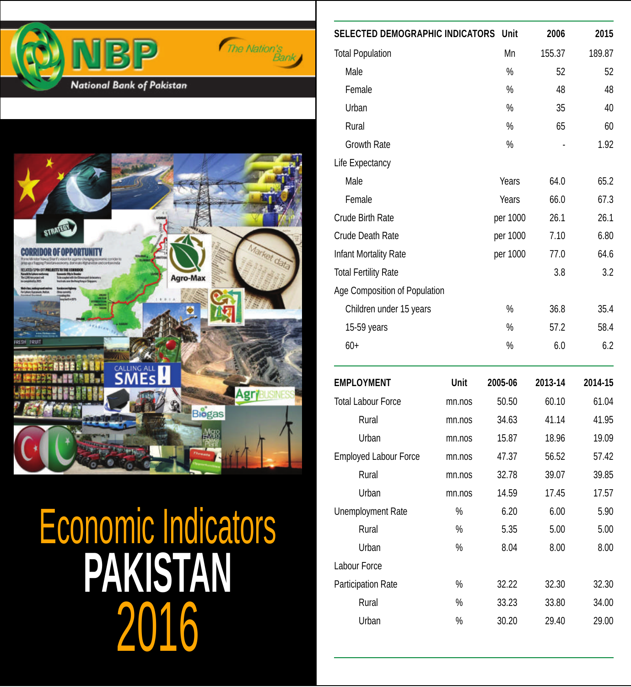



2016 **PAKISTAN** Economic Indicators

| <b>SELECTED DEMOGRAPHIC INDICATORS</b> |        | Unit          | 2006    | 2015    |
|----------------------------------------|--------|---------------|---------|---------|
| <b>Total Population</b>                |        | Mn            | 155.37  | 189.87  |
| Male                                   |        | $\frac{0}{0}$ | 52      | 52      |
| Female                                 |        | $\%$          | 48      | 48      |
| Urban                                  |        | $\%$          | 35      | 40      |
| Rural                                  |        | %             | 65      | 60      |
| Growth Rate                            |        | $\%$          |         | 1.92    |
| Life Expectancy                        |        |               |         |         |
| Male                                   |        | Years         | 64.0    | 65.2    |
| Female                                 |        | Years         | 66.0    | 67.3    |
| <b>Crude Birth Rate</b>                |        | per 1000      | 26.1    | 26.1    |
| Crude Death Rate                       |        | per 1000      | 7.10    | 6.80    |
| Infant Mortality Rate                  |        | per 1000      | 77.0    | 64.6    |
| <b>Total Fertility Rate</b>            |        |               | 3.8     | 3.2     |
| Age Composition of Population          |        |               |         |         |
| Children under 15 years                |        | $\%$          | 36.8    | 35.4    |
| 15-59 years                            |        | $\%$          | 57.2    | 58.4    |
| $60+$                                  |        | %             | 6.0     | 6.2     |
| <b>EMPLOYMENT</b>                      | Unit   | 2005-06       | 2013-14 | 2014-15 |
| <b>Total Labour Force</b>              | mn.nos | 50.50         | 60.10   | 61.04   |
| Rural                                  | mn.nos | 34.63         | 41.14   | 41.95   |
| Urban                                  | mn.nos | 15.87         | 18.96   | 19.09   |
| <b>Employed Labour Force</b>           | mn.nos | 47.37         | 56.52   | 57.42   |
| Rural                                  | mn.nos | 32.78         | 39.07   | 39.85   |
| Urban                                  | mn.nos | 14.59         | 17.45   | 17.57   |
| Unemployment Rate                      | %      | 6.20          | 6.00    | 5.90    |
| Rural                                  | %      | 5.35          | 5.00    | 5.00    |
| Urban                                  | $\%$   | 8.04          | 8.00    | 8.00    |
| Labour Force                           |        |               |         |         |
| Participation Rate                     | $\%$   | 32.22         | 32.30   | 32.30   |
| Rural                                  | %      | 33.23         | 33.80   | 34.00   |
| Urban                                  | %      | 30.20         | 29.40   | 29.00   |
|                                        |        |               |         |         |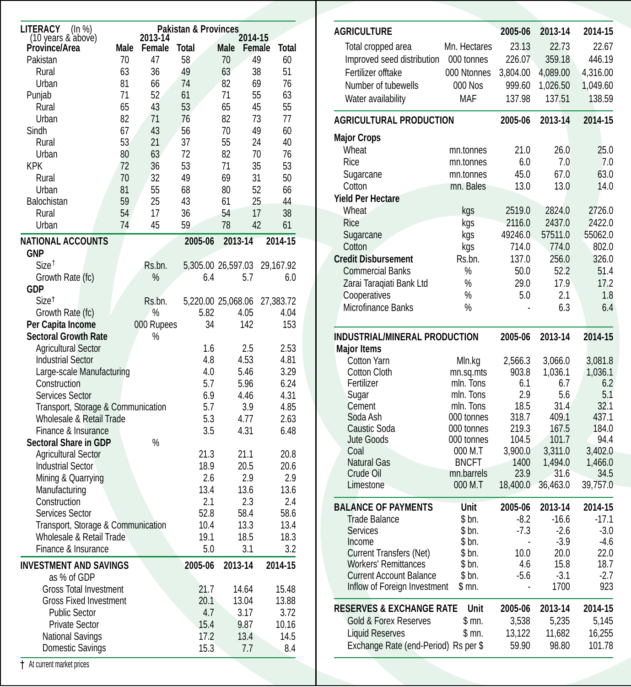| 2014-15<br>Province/Area<br>Male<br>Female<br>Total<br>Male<br>Female<br>Total<br>47<br>58<br>49<br>Pakistan<br>70<br>70<br>60<br>36<br>51<br>Rural<br>63<br>49<br>63<br>38<br>Urban<br>81<br>66<br>74<br>82<br>69<br>76<br>71<br>52<br>55<br>63<br>Punjab<br>61<br>71<br>Rural<br>65<br>43<br>53<br>65<br>45<br>55<br>Urban<br>71<br>73<br>82<br>76<br>82<br>77<br>Sindh<br>67<br>43<br>49<br>60<br>56<br>70<br>53<br>21<br>24<br>Rural<br>37<br>55<br>40<br>Urban<br>76<br>80<br>63<br>72<br>82<br>70<br><b>KPK</b><br>72<br>36<br>53<br>71<br>35<br>53<br>49<br>Rural<br>70<br>32<br>69<br>31<br>50<br>Urban<br>81<br>55<br>68<br>52<br>66<br>80<br>Balochistan<br>59<br>25<br>25<br>44<br>43<br>61<br>Rural<br>36<br>38<br>54<br>17<br>54<br>17<br>Urban<br>74<br>45<br>59<br>78<br>42<br>61<br><b>NATIONAL ACCOUNTS</b><br>2014-15<br>2005-06<br>2013-14<br><b>GNP</b><br>Size <sup>†</sup><br>Rs.bn.<br>5,305.00 26,597.03<br>29,167.92<br>$\%$<br>Growth Rate (fc)<br>6.4<br>5.7<br>6.0<br>GDP<br>Size <sup>t</sup><br>Rs.bn.<br>5,220.00 25,068.06<br>27,383.72<br>Growth Rate (fc)<br>$\%$<br>5.82<br>4.05<br>4.04<br>Per Capita Income<br>000 Rupees<br>34<br>142<br>153<br><b>Sectoral Growth Rate</b><br>%<br><b>Agricultural Sector</b><br>1.6<br>2.5<br>2.53<br><b>Industrial Sector</b><br>4.8<br>4.53<br>4.81<br>Large-scale Manufacturing<br>4.0<br>3.29<br>5.46<br>5.7<br>6.24<br>Construction<br>5.96<br>Services Sector<br>6.9<br>4.46<br>4.31<br>Transport, Storage & Communication<br>5.7<br>3.9<br>4.85<br>Wholesale & Retail Trade<br>5.3<br>4.77<br>2.63<br>Finance & Insurance<br>3.5<br>4.31<br>6.48<br><b>Sectoral Share in GDP</b><br>%<br><b>Agricultural Sector</b><br>21.3<br>21.1<br>20.8<br><b>Industrial Sector</b><br>18.9<br>20.5<br>20.6<br>Mining & Quarrying<br>2.6<br>2.9<br>2.9<br>Manufacturing<br>13.4<br>13.6<br>13.6<br>Construction<br>2.1<br>2.4<br>2.3<br>Services Sector<br>52.8<br>58.4<br>58.6<br>Transport, Storage & Communication<br>13.3<br>10.4<br>13.4<br>Wholesale & Retail Trade<br>19.1<br>18.5<br>18.3<br>Finance & Insurance<br>5.0<br>3.1<br>3.2<br><b>INVESTMENT AND SAVINGS</b><br>2005-06<br>2013-14<br>2014-15<br>as % of GDP<br><b>Gross Total Investment</b><br>21.7<br>14.64<br>15.48<br><b>Gross Fixed Investment</b><br>20.1<br>13.04<br>13.88<br><b>Public Sector</b><br>4.7<br>3.17<br>3.72<br><b>Private Sector</b><br>15.4<br>10.16<br>9.87<br>14.5<br><b>National Savings</b><br>17.2<br>13.4<br>15.3<br>8.4<br>Domestic Savings<br>7.7 | <b>LITERACY</b><br>(ln %) |         | <b>Pakistan &amp; Provinces</b> |  |  |
|-----------------------------------------------------------------------------------------------------------------------------------------------------------------------------------------------------------------------------------------------------------------------------------------------------------------------------------------------------------------------------------------------------------------------------------------------------------------------------------------------------------------------------------------------------------------------------------------------------------------------------------------------------------------------------------------------------------------------------------------------------------------------------------------------------------------------------------------------------------------------------------------------------------------------------------------------------------------------------------------------------------------------------------------------------------------------------------------------------------------------------------------------------------------------------------------------------------------------------------------------------------------------------------------------------------------------------------------------------------------------------------------------------------------------------------------------------------------------------------------------------------------------------------------------------------------------------------------------------------------------------------------------------------------------------------------------------------------------------------------------------------------------------------------------------------------------------------------------------------------------------------------------------------------------------------------------------------------------------------------------------------------------------------------------------------------------------------------------------------------------------------------------------------------------------------------------------------------------------------------------------------------------------------------------------------------------------------------------------------------------------------------------------------------------------------------------------------------------------------------------------------------------|---------------------------|---------|---------------------------------|--|--|
|                                                                                                                                                                                                                                                                                                                                                                                                                                                                                                                                                                                                                                                                                                                                                                                                                                                                                                                                                                                                                                                                                                                                                                                                                                                                                                                                                                                                                                                                                                                                                                                                                                                                                                                                                                                                                                                                                                                                                                                                                                                                                                                                                                                                                                                                                                                                                                                                                                                                                                                       | (10 years & above)        | 2013-14 |                                 |  |  |
|                                                                                                                                                                                                                                                                                                                                                                                                                                                                                                                                                                                                                                                                                                                                                                                                                                                                                                                                                                                                                                                                                                                                                                                                                                                                                                                                                                                                                                                                                                                                                                                                                                                                                                                                                                                                                                                                                                                                                                                                                                                                                                                                                                                                                                                                                                                                                                                                                                                                                                                       |                           |         |                                 |  |  |
|                                                                                                                                                                                                                                                                                                                                                                                                                                                                                                                                                                                                                                                                                                                                                                                                                                                                                                                                                                                                                                                                                                                                                                                                                                                                                                                                                                                                                                                                                                                                                                                                                                                                                                                                                                                                                                                                                                                                                                                                                                                                                                                                                                                                                                                                                                                                                                                                                                                                                                                       |                           |         |                                 |  |  |
|                                                                                                                                                                                                                                                                                                                                                                                                                                                                                                                                                                                                                                                                                                                                                                                                                                                                                                                                                                                                                                                                                                                                                                                                                                                                                                                                                                                                                                                                                                                                                                                                                                                                                                                                                                                                                                                                                                                                                                                                                                                                                                                                                                                                                                                                                                                                                                                                                                                                                                                       |                           |         |                                 |  |  |
|                                                                                                                                                                                                                                                                                                                                                                                                                                                                                                                                                                                                                                                                                                                                                                                                                                                                                                                                                                                                                                                                                                                                                                                                                                                                                                                                                                                                                                                                                                                                                                                                                                                                                                                                                                                                                                                                                                                                                                                                                                                                                                                                                                                                                                                                                                                                                                                                                                                                                                                       |                           |         |                                 |  |  |
|                                                                                                                                                                                                                                                                                                                                                                                                                                                                                                                                                                                                                                                                                                                                                                                                                                                                                                                                                                                                                                                                                                                                                                                                                                                                                                                                                                                                                                                                                                                                                                                                                                                                                                                                                                                                                                                                                                                                                                                                                                                                                                                                                                                                                                                                                                                                                                                                                                                                                                                       |                           |         |                                 |  |  |
|                                                                                                                                                                                                                                                                                                                                                                                                                                                                                                                                                                                                                                                                                                                                                                                                                                                                                                                                                                                                                                                                                                                                                                                                                                                                                                                                                                                                                                                                                                                                                                                                                                                                                                                                                                                                                                                                                                                                                                                                                                                                                                                                                                                                                                                                                                                                                                                                                                                                                                                       |                           |         |                                 |  |  |
|                                                                                                                                                                                                                                                                                                                                                                                                                                                                                                                                                                                                                                                                                                                                                                                                                                                                                                                                                                                                                                                                                                                                                                                                                                                                                                                                                                                                                                                                                                                                                                                                                                                                                                                                                                                                                                                                                                                                                                                                                                                                                                                                                                                                                                                                                                                                                                                                                                                                                                                       |                           |         |                                 |  |  |
|                                                                                                                                                                                                                                                                                                                                                                                                                                                                                                                                                                                                                                                                                                                                                                                                                                                                                                                                                                                                                                                                                                                                                                                                                                                                                                                                                                                                                                                                                                                                                                                                                                                                                                                                                                                                                                                                                                                                                                                                                                                                                                                                                                                                                                                                                                                                                                                                                                                                                                                       |                           |         |                                 |  |  |
|                                                                                                                                                                                                                                                                                                                                                                                                                                                                                                                                                                                                                                                                                                                                                                                                                                                                                                                                                                                                                                                                                                                                                                                                                                                                                                                                                                                                                                                                                                                                                                                                                                                                                                                                                                                                                                                                                                                                                                                                                                                                                                                                                                                                                                                                                                                                                                                                                                                                                                                       |                           |         |                                 |  |  |
|                                                                                                                                                                                                                                                                                                                                                                                                                                                                                                                                                                                                                                                                                                                                                                                                                                                                                                                                                                                                                                                                                                                                                                                                                                                                                                                                                                                                                                                                                                                                                                                                                                                                                                                                                                                                                                                                                                                                                                                                                                                                                                                                                                                                                                                                                                                                                                                                                                                                                                                       |                           |         |                                 |  |  |
|                                                                                                                                                                                                                                                                                                                                                                                                                                                                                                                                                                                                                                                                                                                                                                                                                                                                                                                                                                                                                                                                                                                                                                                                                                                                                                                                                                                                                                                                                                                                                                                                                                                                                                                                                                                                                                                                                                                                                                                                                                                                                                                                                                                                                                                                                                                                                                                                                                                                                                                       |                           |         |                                 |  |  |
|                                                                                                                                                                                                                                                                                                                                                                                                                                                                                                                                                                                                                                                                                                                                                                                                                                                                                                                                                                                                                                                                                                                                                                                                                                                                                                                                                                                                                                                                                                                                                                                                                                                                                                                                                                                                                                                                                                                                                                                                                                                                                                                                                                                                                                                                                                                                                                                                                                                                                                                       |                           |         |                                 |  |  |
|                                                                                                                                                                                                                                                                                                                                                                                                                                                                                                                                                                                                                                                                                                                                                                                                                                                                                                                                                                                                                                                                                                                                                                                                                                                                                                                                                                                                                                                                                                                                                                                                                                                                                                                                                                                                                                                                                                                                                                                                                                                                                                                                                                                                                                                                                                                                                                                                                                                                                                                       |                           |         |                                 |  |  |
|                                                                                                                                                                                                                                                                                                                                                                                                                                                                                                                                                                                                                                                                                                                                                                                                                                                                                                                                                                                                                                                                                                                                                                                                                                                                                                                                                                                                                                                                                                                                                                                                                                                                                                                                                                                                                                                                                                                                                                                                                                                                                                                                                                                                                                                                                                                                                                                                                                                                                                                       |                           |         |                                 |  |  |
|                                                                                                                                                                                                                                                                                                                                                                                                                                                                                                                                                                                                                                                                                                                                                                                                                                                                                                                                                                                                                                                                                                                                                                                                                                                                                                                                                                                                                                                                                                                                                                                                                                                                                                                                                                                                                                                                                                                                                                                                                                                                                                                                                                                                                                                                                                                                                                                                                                                                                                                       |                           |         |                                 |  |  |
|                                                                                                                                                                                                                                                                                                                                                                                                                                                                                                                                                                                                                                                                                                                                                                                                                                                                                                                                                                                                                                                                                                                                                                                                                                                                                                                                                                                                                                                                                                                                                                                                                                                                                                                                                                                                                                                                                                                                                                                                                                                                                                                                                                                                                                                                                                                                                                                                                                                                                                                       |                           |         |                                 |  |  |
|                                                                                                                                                                                                                                                                                                                                                                                                                                                                                                                                                                                                                                                                                                                                                                                                                                                                                                                                                                                                                                                                                                                                                                                                                                                                                                                                                                                                                                                                                                                                                                                                                                                                                                                                                                                                                                                                                                                                                                                                                                                                                                                                                                                                                                                                                                                                                                                                                                                                                                                       |                           |         |                                 |  |  |
|                                                                                                                                                                                                                                                                                                                                                                                                                                                                                                                                                                                                                                                                                                                                                                                                                                                                                                                                                                                                                                                                                                                                                                                                                                                                                                                                                                                                                                                                                                                                                                                                                                                                                                                                                                                                                                                                                                                                                                                                                                                                                                                                                                                                                                                                                                                                                                                                                                                                                                                       |                           |         |                                 |  |  |
|                                                                                                                                                                                                                                                                                                                                                                                                                                                                                                                                                                                                                                                                                                                                                                                                                                                                                                                                                                                                                                                                                                                                                                                                                                                                                                                                                                                                                                                                                                                                                                                                                                                                                                                                                                                                                                                                                                                                                                                                                                                                                                                                                                                                                                                                                                                                                                                                                                                                                                                       |                           |         |                                 |  |  |
|                                                                                                                                                                                                                                                                                                                                                                                                                                                                                                                                                                                                                                                                                                                                                                                                                                                                                                                                                                                                                                                                                                                                                                                                                                                                                                                                                                                                                                                                                                                                                                                                                                                                                                                                                                                                                                                                                                                                                                                                                                                                                                                                                                                                                                                                                                                                                                                                                                                                                                                       |                           |         |                                 |  |  |
|                                                                                                                                                                                                                                                                                                                                                                                                                                                                                                                                                                                                                                                                                                                                                                                                                                                                                                                                                                                                                                                                                                                                                                                                                                                                                                                                                                                                                                                                                                                                                                                                                                                                                                                                                                                                                                                                                                                                                                                                                                                                                                                                                                                                                                                                                                                                                                                                                                                                                                                       |                           |         |                                 |  |  |
|                                                                                                                                                                                                                                                                                                                                                                                                                                                                                                                                                                                                                                                                                                                                                                                                                                                                                                                                                                                                                                                                                                                                                                                                                                                                                                                                                                                                                                                                                                                                                                                                                                                                                                                                                                                                                                                                                                                                                                                                                                                                                                                                                                                                                                                                                                                                                                                                                                                                                                                       |                           |         |                                 |  |  |
|                                                                                                                                                                                                                                                                                                                                                                                                                                                                                                                                                                                                                                                                                                                                                                                                                                                                                                                                                                                                                                                                                                                                                                                                                                                                                                                                                                                                                                                                                                                                                                                                                                                                                                                                                                                                                                                                                                                                                                                                                                                                                                                                                                                                                                                                                                                                                                                                                                                                                                                       |                           |         |                                 |  |  |
|                                                                                                                                                                                                                                                                                                                                                                                                                                                                                                                                                                                                                                                                                                                                                                                                                                                                                                                                                                                                                                                                                                                                                                                                                                                                                                                                                                                                                                                                                                                                                                                                                                                                                                                                                                                                                                                                                                                                                                                                                                                                                                                                                                                                                                                                                                                                                                                                                                                                                                                       |                           |         |                                 |  |  |
|                                                                                                                                                                                                                                                                                                                                                                                                                                                                                                                                                                                                                                                                                                                                                                                                                                                                                                                                                                                                                                                                                                                                                                                                                                                                                                                                                                                                                                                                                                                                                                                                                                                                                                                                                                                                                                                                                                                                                                                                                                                                                                                                                                                                                                                                                                                                                                                                                                                                                                                       |                           |         |                                 |  |  |
|                                                                                                                                                                                                                                                                                                                                                                                                                                                                                                                                                                                                                                                                                                                                                                                                                                                                                                                                                                                                                                                                                                                                                                                                                                                                                                                                                                                                                                                                                                                                                                                                                                                                                                                                                                                                                                                                                                                                                                                                                                                                                                                                                                                                                                                                                                                                                                                                                                                                                                                       |                           |         |                                 |  |  |
|                                                                                                                                                                                                                                                                                                                                                                                                                                                                                                                                                                                                                                                                                                                                                                                                                                                                                                                                                                                                                                                                                                                                                                                                                                                                                                                                                                                                                                                                                                                                                                                                                                                                                                                                                                                                                                                                                                                                                                                                                                                                                                                                                                                                                                                                                                                                                                                                                                                                                                                       |                           |         |                                 |  |  |
|                                                                                                                                                                                                                                                                                                                                                                                                                                                                                                                                                                                                                                                                                                                                                                                                                                                                                                                                                                                                                                                                                                                                                                                                                                                                                                                                                                                                                                                                                                                                                                                                                                                                                                                                                                                                                                                                                                                                                                                                                                                                                                                                                                                                                                                                                                                                                                                                                                                                                                                       |                           |         |                                 |  |  |
|                                                                                                                                                                                                                                                                                                                                                                                                                                                                                                                                                                                                                                                                                                                                                                                                                                                                                                                                                                                                                                                                                                                                                                                                                                                                                                                                                                                                                                                                                                                                                                                                                                                                                                                                                                                                                                                                                                                                                                                                                                                                                                                                                                                                                                                                                                                                                                                                                                                                                                                       |                           |         |                                 |  |  |
|                                                                                                                                                                                                                                                                                                                                                                                                                                                                                                                                                                                                                                                                                                                                                                                                                                                                                                                                                                                                                                                                                                                                                                                                                                                                                                                                                                                                                                                                                                                                                                                                                                                                                                                                                                                                                                                                                                                                                                                                                                                                                                                                                                                                                                                                                                                                                                                                                                                                                                                       |                           |         |                                 |  |  |
|                                                                                                                                                                                                                                                                                                                                                                                                                                                                                                                                                                                                                                                                                                                                                                                                                                                                                                                                                                                                                                                                                                                                                                                                                                                                                                                                                                                                                                                                                                                                                                                                                                                                                                                                                                                                                                                                                                                                                                                                                                                                                                                                                                                                                                                                                                                                                                                                                                                                                                                       |                           |         |                                 |  |  |
|                                                                                                                                                                                                                                                                                                                                                                                                                                                                                                                                                                                                                                                                                                                                                                                                                                                                                                                                                                                                                                                                                                                                                                                                                                                                                                                                                                                                                                                                                                                                                                                                                                                                                                                                                                                                                                                                                                                                                                                                                                                                                                                                                                                                                                                                                                                                                                                                                                                                                                                       |                           |         |                                 |  |  |
|                                                                                                                                                                                                                                                                                                                                                                                                                                                                                                                                                                                                                                                                                                                                                                                                                                                                                                                                                                                                                                                                                                                                                                                                                                                                                                                                                                                                                                                                                                                                                                                                                                                                                                                                                                                                                                                                                                                                                                                                                                                                                                                                                                                                                                                                                                                                                                                                                                                                                                                       |                           |         |                                 |  |  |
|                                                                                                                                                                                                                                                                                                                                                                                                                                                                                                                                                                                                                                                                                                                                                                                                                                                                                                                                                                                                                                                                                                                                                                                                                                                                                                                                                                                                                                                                                                                                                                                                                                                                                                                                                                                                                                                                                                                                                                                                                                                                                                                                                                                                                                                                                                                                                                                                                                                                                                                       |                           |         |                                 |  |  |
|                                                                                                                                                                                                                                                                                                                                                                                                                                                                                                                                                                                                                                                                                                                                                                                                                                                                                                                                                                                                                                                                                                                                                                                                                                                                                                                                                                                                                                                                                                                                                                                                                                                                                                                                                                                                                                                                                                                                                                                                                                                                                                                                                                                                                                                                                                                                                                                                                                                                                                                       |                           |         |                                 |  |  |
|                                                                                                                                                                                                                                                                                                                                                                                                                                                                                                                                                                                                                                                                                                                                                                                                                                                                                                                                                                                                                                                                                                                                                                                                                                                                                                                                                                                                                                                                                                                                                                                                                                                                                                                                                                                                                                                                                                                                                                                                                                                                                                                                                                                                                                                                                                                                                                                                                                                                                                                       |                           |         |                                 |  |  |
|                                                                                                                                                                                                                                                                                                                                                                                                                                                                                                                                                                                                                                                                                                                                                                                                                                                                                                                                                                                                                                                                                                                                                                                                                                                                                                                                                                                                                                                                                                                                                                                                                                                                                                                                                                                                                                                                                                                                                                                                                                                                                                                                                                                                                                                                                                                                                                                                                                                                                                                       |                           |         |                                 |  |  |
|                                                                                                                                                                                                                                                                                                                                                                                                                                                                                                                                                                                                                                                                                                                                                                                                                                                                                                                                                                                                                                                                                                                                                                                                                                                                                                                                                                                                                                                                                                                                                                                                                                                                                                                                                                                                                                                                                                                                                                                                                                                                                                                                                                                                                                                                                                                                                                                                                                                                                                                       |                           |         |                                 |  |  |
|                                                                                                                                                                                                                                                                                                                                                                                                                                                                                                                                                                                                                                                                                                                                                                                                                                                                                                                                                                                                                                                                                                                                                                                                                                                                                                                                                                                                                                                                                                                                                                                                                                                                                                                                                                                                                                                                                                                                                                                                                                                                                                                                                                                                                                                                                                                                                                                                                                                                                                                       |                           |         |                                 |  |  |
|                                                                                                                                                                                                                                                                                                                                                                                                                                                                                                                                                                                                                                                                                                                                                                                                                                                                                                                                                                                                                                                                                                                                                                                                                                                                                                                                                                                                                                                                                                                                                                                                                                                                                                                                                                                                                                                                                                                                                                                                                                                                                                                                                                                                                                                                                                                                                                                                                                                                                                                       |                           |         |                                 |  |  |
|                                                                                                                                                                                                                                                                                                                                                                                                                                                                                                                                                                                                                                                                                                                                                                                                                                                                                                                                                                                                                                                                                                                                                                                                                                                                                                                                                                                                                                                                                                                                                                                                                                                                                                                                                                                                                                                                                                                                                                                                                                                                                                                                                                                                                                                                                                                                                                                                                                                                                                                       |                           |         |                                 |  |  |
|                                                                                                                                                                                                                                                                                                                                                                                                                                                                                                                                                                                                                                                                                                                                                                                                                                                                                                                                                                                                                                                                                                                                                                                                                                                                                                                                                                                                                                                                                                                                                                                                                                                                                                                                                                                                                                                                                                                                                                                                                                                                                                                                                                                                                                                                                                                                                                                                                                                                                                                       |                           |         |                                 |  |  |
|                                                                                                                                                                                                                                                                                                                                                                                                                                                                                                                                                                                                                                                                                                                                                                                                                                                                                                                                                                                                                                                                                                                                                                                                                                                                                                                                                                                                                                                                                                                                                                                                                                                                                                                                                                                                                                                                                                                                                                                                                                                                                                                                                                                                                                                                                                                                                                                                                                                                                                                       |                           |         |                                 |  |  |
|                                                                                                                                                                                                                                                                                                                                                                                                                                                                                                                                                                                                                                                                                                                                                                                                                                                                                                                                                                                                                                                                                                                                                                                                                                                                                                                                                                                                                                                                                                                                                                                                                                                                                                                                                                                                                                                                                                                                                                                                                                                                                                                                                                                                                                                                                                                                                                                                                                                                                                                       |                           |         |                                 |  |  |
|                                                                                                                                                                                                                                                                                                                                                                                                                                                                                                                                                                                                                                                                                                                                                                                                                                                                                                                                                                                                                                                                                                                                                                                                                                                                                                                                                                                                                                                                                                                                                                                                                                                                                                                                                                                                                                                                                                                                                                                                                                                                                                                                                                                                                                                                                                                                                                                                                                                                                                                       |                           |         |                                 |  |  |
|                                                                                                                                                                                                                                                                                                                                                                                                                                                                                                                                                                                                                                                                                                                                                                                                                                                                                                                                                                                                                                                                                                                                                                                                                                                                                                                                                                                                                                                                                                                                                                                                                                                                                                                                                                                                                                                                                                                                                                                                                                                                                                                                                                                                                                                                                                                                                                                                                                                                                                                       |                           |         |                                 |  |  |
|                                                                                                                                                                                                                                                                                                                                                                                                                                                                                                                                                                                                                                                                                                                                                                                                                                                                                                                                                                                                                                                                                                                                                                                                                                                                                                                                                                                                                                                                                                                                                                                                                                                                                                                                                                                                                                                                                                                                                                                                                                                                                                                                                                                                                                                                                                                                                                                                                                                                                                                       |                           |         |                                 |  |  |
|                                                                                                                                                                                                                                                                                                                                                                                                                                                                                                                                                                                                                                                                                                                                                                                                                                                                                                                                                                                                                                                                                                                                                                                                                                                                                                                                                                                                                                                                                                                                                                                                                                                                                                                                                                                                                                                                                                                                                                                                                                                                                                                                                                                                                                                                                                                                                                                                                                                                                                                       |                           |         |                                 |  |  |
|                                                                                                                                                                                                                                                                                                                                                                                                                                                                                                                                                                                                                                                                                                                                                                                                                                                                                                                                                                                                                                                                                                                                                                                                                                                                                                                                                                                                                                                                                                                                                                                                                                                                                                                                                                                                                                                                                                                                                                                                                                                                                                                                                                                                                                                                                                                                                                                                                                                                                                                       |                           |         |                                 |  |  |
|                                                                                                                                                                                                                                                                                                                                                                                                                                                                                                                                                                                                                                                                                                                                                                                                                                                                                                                                                                                                                                                                                                                                                                                                                                                                                                                                                                                                                                                                                                                                                                                                                                                                                                                                                                                                                                                                                                                                                                                                                                                                                                                                                                                                                                                                                                                                                                                                                                                                                                                       |                           |         |                                 |  |  |

| <b>AGRICULTURE</b>                   |                       | 2005-06          | 2013-14          | 2014-15         |
|--------------------------------------|-----------------------|------------------|------------------|-----------------|
| Total cropped area                   | Mn. Hectares          | 23.13            | 22.73            | 22.67           |
| Improved seed distribution           | 000 tonnes            | 226.07           | 359.18           | 446.19          |
| Fertilizer offtake                   | 000 Ntonnes           | 3,804.00         | 4,089.00         | 4,316.00        |
| Number of tubewells                  | 000 Nos               | 999.60           | 1,026.50         | 1,049.60        |
| Water availability                   | <b>MAF</b>            | 137.98           | 137.51           | 138.59          |
| <b>AGRICULTURAL PRODUCTION</b>       |                       | 2005-06          | 2013-14          | 2014-15         |
| <b>Major Crops</b>                   |                       |                  |                  |                 |
| Wheat                                | mn.tonnes             | 21.0             | 26.0             | 25.0            |
| Rice                                 | mn.tonnes             | 6.0              | 7.0              | 7.0             |
| Sugarcane                            | mn.tonnes             | 45.0             | 67.0             | 63.0            |
| Cotton                               | mn. Bales             | 13.0             | 13.0             | 14.0            |
| <b>Yield Per Hectare</b>             |                       |                  |                  |                 |
| <b>Wheat</b>                         | kgs                   | 2519.0           | 2824.0           | 2726.0          |
| Rice                                 | kgs                   | 2116.0           | 2437.0           | 2422.0          |
| Sugarcane                            | kgs                   | 49246.0          | 57511.0          | 55062.0         |
| Cotton                               | kgs                   | 714.0            | 774.0            | 802.0           |
| <b>Credit Disbursement</b>           | Rs.bn.                | 137.0            | 256.0            | 326.0           |
| <b>Commercial Banks</b>              | %                     | 50.0             | 52.2             | 51.4            |
| Zarai Taraqiati Bank Ltd             | %                     | 29.0             | 17.9             | 17.2            |
| Cooperatives                         | %                     | 5.0              | 2.1              | 1.8             |
| Microfinance Banks                   | %                     |                  | 6.3              | 6.4             |
| INDUSTRIAL/MINERAL PRODUCTION        |                       | 2005-06          | 2013-14          | 2014-15         |
| <b>Major Items</b>                   |                       |                  |                  |                 |
| <b>Cotton Yarn</b>                   | Mln.kg                | 2,566.3          | 3,066.0          | 3,081.8         |
| Cotton Cloth                         | mn.sq.mts             | 903.8            | 1,036.1          | 1,036.1         |
| Fertilizer                           | mln. Tons             | 6.1              | 6.7              | 6.2             |
| Sugar                                | mln. Tons             | 2.9              | 5.6              | 5.1             |
| Cement                               | mln. Tons             | 18.5             | 31.4             | 32.1            |
| Soda Ash                             | 000 tonnes            | 318.7            | 409.1            | 437.1           |
| Caustic Soda                         | 000 tonnes            | 219.3            | 167.5            | 184.0           |
| <b>Jute Goods</b><br>Coal            | 000 tonnes<br>000 M.T | 104.5<br>3,900.0 | 101.7<br>3,311.0 | 94.4<br>3,402.0 |
| <b>Natural Gas</b>                   | <b>BNCFT</b>          | 1400             | 1,494.0          | 1,466.0         |
| Crude Oil                            | mn.barrels            | 23.9             | 31.6             | 34.5            |
| Limestone                            | 000 M.T               | 18,400.0         | 36,463.0         | 39,757.0        |
| <b>BALANCE OF PAYMENTS</b>           | Unit                  | 2005-06          | 2013-14          | 2014-15         |
| <b>Trade Balance</b>                 | \$ bn.                | $-8.2$           | $-16.6$          | $-17.1$         |
| Services                             | \$ bn.                | $-7.3$           | $-2.6$           | $-3.0$          |
| Income                               | \$bn.                 |                  | $-3.9$           | $-4.6$          |
| <b>Current Transfers (Net)</b>       | \$bn.                 | 10.0             | 20.0             | 22.0            |
| <b>Workers' Remittances</b>          | \$ bn.                | 4.6              | 15.8             | 18.7            |
| <b>Current Account Balance</b>       | \$ bn.                | $-5.6$           | $-3.1$           | $-2.7$          |
| Inflow of Foreign Investment         | \$ mn.                |                  | 1700             | 923             |
| <b>RESERVES &amp; EXCHANGE RATE</b>  | Unit                  | 2005-06          | 2013-14          | 2014-15         |
| <b>Gold &amp; Forex Reserves</b>     | \$ mn.                | 3,538            | 5,235            | 5,145           |
| <b>Liquid Reserves</b>               | \$ mn.                | 13,122           | 11,682           | 16,255          |
| Exchange Rate (end-Period) Rs per \$ |                       | 59.90            | 98.80            | 101.78          |

At current market prices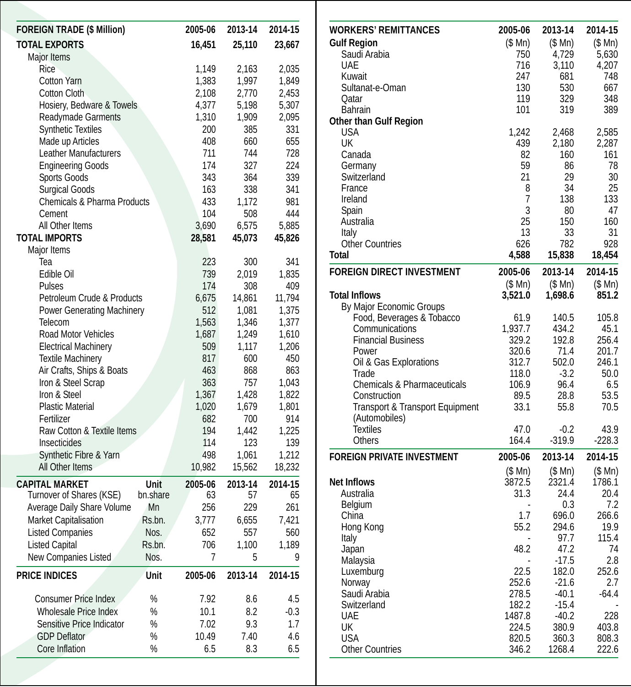| <b>FOREIGN TRADE (\$ Million)</b> | 2005-06  | 2013-14 | 2014-15 |         |
|-----------------------------------|----------|---------|---------|---------|
| <b>TOTAL EXPORTS</b>              |          | 16,451  | 25,110  | 23,667  |
| Major Items                       |          |         |         |         |
| Rice                              |          | 1,149   | 2,163   | 2,035   |
| <b>Cotton Yarn</b>                |          | 1,383   | 1,997   | 1,849   |
| Cotton Cloth                      |          | 2,108   | 2,770   | 2,453   |
| Hosiery, Bedware & Towels         |          | 4,377   | 5,198   | 5,307   |
| <b>Readymade Garments</b>         |          | 1,310   | 1,909   | 2,095   |
| <b>Synthetic Textiles</b>         |          | 200     | 385     | 331     |
| Made up Articles                  |          | 408     | 660     | 655     |
| Leather Manufacturers             |          | 711     | 744     | 728     |
| <b>Engineering Goods</b>          |          | 174     | 327     | 224     |
| <b>Sports Goods</b>               |          | 343     | 364     | 339     |
| <b>Surgical Goods</b>             |          | 163     | 338     | 341     |
| Chemicals & Pharma Products       |          | 433     | 1.172   | 981     |
| Cement                            |          | 104     | 508     | 444     |
| All Other Items                   |          | 3,690   | 6,575   | 5,885   |
| <b>TOTAL IMPORTS</b>              |          | 28,581  | 45,073  | 45,826  |
| Major Items                       |          |         |         |         |
| Tea                               |          | 223     | 300     | 341     |
| Edible Oil                        |          | 739     | 2,019   | 1,835   |
| Pulses                            |          | 174     | 308     | 409     |
| Petroleum Crude & Products        |          | 6,675   | 14,861  | 11,794  |
| <b>Power Generating Machinery</b> |          | 512     | 1,081   | 1,375   |
| Telecom                           |          |         |         |         |
| Road Motor Vehicles               |          | 1,563   | 1,346   | 1,377   |
|                                   |          | 1,687   | 1,249   | 1,610   |
| <b>Electrical Machinery</b>       |          | 509     | 1,117   | 1,206   |
| <b>Textile Machinery</b>          |          | 817     | 600     | 450     |
| Air Crafts, Ships & Boats         |          | 463     | 868     | 863     |
| Iron & Steel Scrap                |          | 363     | 757     | 1,043   |
| Iron & Steel                      |          | 1,367   | 1,428   | 1,822   |
| <b>Plastic Material</b>           |          | 1,020   | 1,679   | 1,801   |
| Fertilizer                        |          | 682     | 700     | 914     |
| Raw Cotton & Textile Items        |          | 194     | 1.442   | 1.225   |
| Insecticides                      |          | 114     | 123     | 139     |
| Synthetic Fibre & Yarn            |          | 498     | 1,061   | 1,212   |
| All Other Items                   |          | 10,982  | 15,562  | 18,232  |
| <b>CAPITAL MARKET</b>             | Unit     | 2005-06 | 2013-14 | 2014-15 |
| Turnover of Shares (KSE)          | bn.share | 63      | 57      | 65      |
| Average Daily Share Volume        | Mn       | 256     | 229     | 261     |
| Market Capitalisation             | Rs.bn.   | 3,777   | 6,655   | 7,421   |
| <b>Listed Companies</b>           | Nos.     | 652     | 557     | 560     |
| <b>Listed Capital</b>             | Rs.bn.   | 706     | 1,100   | 1,189   |
| New Companies Listed              | Nos.     | 7       | 5       | 9       |
| <b>PRICE INDICES</b>              | Unit     | 2005-06 | 2013-14 | 2014-15 |
|                                   |          |         |         |         |
| <b>Consumer Price Index</b>       | %        | 7.92    | 8.6     | 4.5     |
| Wholesale Price Index             | %        | 10.1    | 8.2     | $-0.3$  |
| Sensitive Price Indicator         | %        | 7.02    | 9.3     | 1.7     |
| <b>GDP Deflator</b>               | %        | 10.49   | 7.40    | 4.6     |
| Core Inflation                    | %        | 6.5     | 8.3     | 6.5     |

| <b>WORKERS' REMITTANCES</b>            | 2005-06 | 2013-14          | 2014-15      |
|----------------------------------------|---------|------------------|--------------|
| <b>Gulf Region</b>                     | (\$ Mn) | (\$ Mn)          | (S Mn)       |
| Saudi Arabia                           | 750     | 4,729            | 5,630        |
| <b>UAE</b>                             | 716     | 3,110            | 4,207        |
| Kuwait                                 | 247     | 681              | 748          |
| Sultanat-e-Oman                        | 130     | 530              | 667          |
| Qatar                                  | 119     | 329              | 348          |
| <b>Bahrain</b>                         | 101     | 319              | 389          |
| <b>Other than Gulf Region</b>          |         |                  |              |
| <b>USA</b>                             | 1,242   | 2,468            | 2,585        |
| UK                                     | 439     | 2,180            | 2,287        |
| Canada                                 | 82      | 160              | 161          |
| Germany                                | 59      | 86               | 78           |
| Switzerland                            | 21      | 29               | 30           |
| France<br>Ireland                      | 8<br>7  | 34<br>138        | 25<br>133    |
| Spain                                  | 3       | 80               | 47           |
| Australia                              | 25      | 150              | 160          |
| Italy                                  | 13      | 33               | 31           |
| <b>Other Countries</b>                 | 626     | 782              | 928          |
| <b>Total</b>                           | 4,588   | 15,838           | 18,454       |
| <b>FOREIGN DIRECT INVESTMENT</b>       | 2005-06 | 2013-14          | 2014-15      |
|                                        | \$Mn)   | (S Mn)           | (S Mn)       |
| <b>Total Inflows</b>                   | 3,521.0 | 1,698.6          | 851.2        |
| By Major Economic Groups               |         |                  |              |
| Food, Beverages & Tobacco              | 61.9    | 140.5            | 105.8        |
| Communications                         | 1,937.7 | 434.2            | 45.1         |
| <b>Financial Business</b>              | 329.2   | 192.8            | 256.4        |
| Power                                  | 320.6   | 71.4             | 201.7        |
| Oil & Gas Explorations                 | 312.7   | 502.0            | 246.1        |
| Trade                                  | 118.0   | $-3.2$           | 50.0         |
| <b>Chemicals &amp; Pharmaceuticals</b> | 106.9   | 96.4             | 6.5          |
| Construction                           | 89.5    | 28.8             | 53.5         |
| Transport & Transport Equipment        | 33.1    | 55.8             | 70.5         |
| (Automobiles)                          |         |                  |              |
| <b>Textiles</b>                        | 47.0    | $-0.2$           | 43.9         |
| Others                                 | 164.4   | $-319.9$         | $-228.3$     |
| <b>FOREIGN PRIVATE INVESTMENT</b>      | 2005-06 | 2013-14          | 2014-15      |
|                                        | (S Mn)  | (S Mn)           | (S Mn)       |
| <b>Net Inflows</b>                     | 3872.5  | 2321.4           | 1786.1       |
| Australia                              | 31.3    | 24.4             | 20.4         |
| Belgium                                |         | 0.3              | 7.2          |
| China                                  | 1.7     | 696.0            | 266.6        |
| Hong Kong                              | 55.2    | 294.6            | 19.9         |
| Italy                                  |         | 97.7             | 115.4        |
| Japan                                  | 48.2    | 47.2             | 74           |
| Malaysia                               | 22.5    | $-17.5$          | 2.8          |
| Luxemburg                              | 252.6   | 182.0<br>$-21.6$ | 252.6<br>2.7 |
| Norway<br>Saudi Arabia                 | 278.5   | $-40.1$          | $-64.4$      |
| Switzerland                            | 182.2   | $-15.4$          |              |
| UAE                                    | 1487.8  | $-40.2$          | 228          |
| UK                                     | 224.5   | 380.9            | 403.8        |
| <b>USA</b>                             | 820.5   | 360.3            | 808.3        |
| <b>Other Countries</b>                 | 346.2   | 1268.4           | 222.6        |
|                                        |         |                  |              |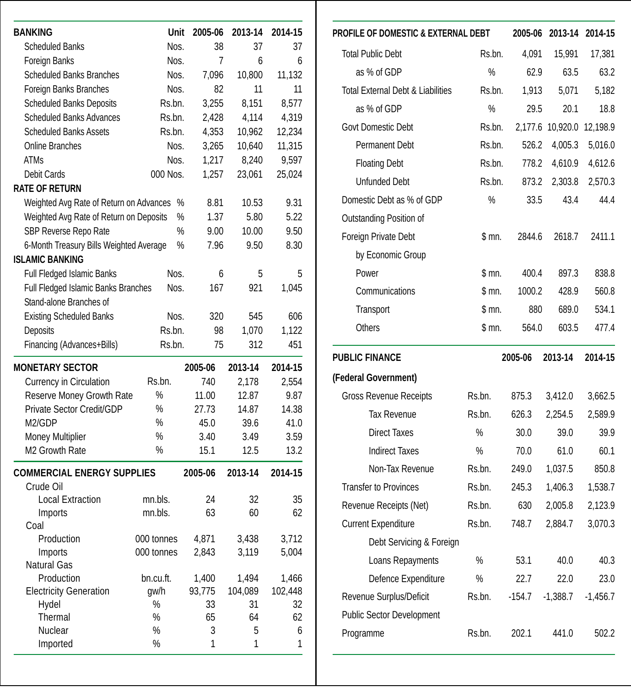| <b>BANKING</b>                                 | Unit       | 2005-06 | 2013-14 | 2014-15 |
|------------------------------------------------|------------|---------|---------|---------|
| <b>Scheduled Banks</b>                         | Nos.       | 38      | 37      | 37      |
| Foreign Banks                                  | Nos.       | 7       | 6       | 6       |
| <b>Scheduled Banks Branches</b>                | Nos.       | 7,096   | 10.800  | 11,132  |
| Foreign Banks Branches                         | Nos.       | 82      | 11      | 11      |
| <b>Scheduled Banks Deposits</b>                | Rs.bn.     | 3,255   | 8,151   | 8,577   |
| <b>Scheduled Banks Advances</b>                | Rs.bn.     | 2,428   | 4,114   | 4,319   |
| <b>Scheduled Banks Assets</b>                  | Rs.bn.     | 4,353   | 10,962  | 12,234  |
| <b>Online Branches</b>                         | Nos.       | 3,265   | 10,640  | 11,315  |
| <b>ATMs</b>                                    | Nos.       | 1,217   | 8,240   | 9,597   |
| Debit Cards                                    | 000 Nos.   | 1,257   | 23,061  | 25,024  |
| <b>RATE OF RETURN</b>                          |            |         |         |         |
| Weighted Avg Rate of Return on Advances        | $\%$       | 8.81    | 10.53   | 9.31    |
| Weighted Avg Rate of Return on Deposits        | %          | 1.37    | 5.80    | 5.22    |
| SBP Reverse Repo Rate                          | %          | 9.00    | 10.00   | 9.50    |
| 6-Month Treasury Bills Weighted Average        | $\%$       | 7.96    | 9.50    | 8.30    |
| <b>ISLAMIC BANKING</b>                         |            |         |         |         |
| Full Fledged Islamic Banks                     | Nos.       | 6       | 5       | 5       |
| Full Fledged Islamic Banks Branches            | Nos.       | 167     | 921     | 1,045   |
| Stand-alone Branches of                        |            |         |         |         |
| <b>Existing Scheduled Banks</b>                | Nos.       | 320     | 545     | 606     |
| Deposits                                       | Rs.bn.     | 98      | 1,070   | 1,122   |
| Financing (Advances+Bills)                     | Rs.bn.     | 75      | 312     | 451     |
| <b>MONETARY SECTOR</b>                         |            | 2005-06 | 2013-14 | 2014-15 |
| Currency in Circulation                        | Rs.bn.     | 740     | 2,178   | 2,554   |
| Reserve Money Growth Rate                      | $\%$       | 11.00   | 12.87   | 9.87    |
| Private Sector Credit/GDP                      | $\%$       | 27.73   | 14.87   | 14.38   |
| M2/GDP                                         | $\%$       | 45.0    | 39.6    | 41.0    |
| Money Multiplier                               | %          | 3.40    | 3.49    | 3.59    |
| M2 Growth Rate                                 | %          | 15.1    | 12.5    | 13.2    |
| <b>COMMERCIAL ENERGY SUPPLIES</b><br>Crude Oil |            | 2005-06 | 2013-14 | 2014-15 |
| <b>Local Extraction</b>                        | mn.bls.    | 24      | 32      | 35      |
| Imports                                        | mn.bls.    | 63      | 60      | 62      |
| Coal                                           |            |         |         |         |
| Production                                     | 000 tonnes | 4,871   | 3,438   | 3,712   |
| Imports                                        | 000 tonnes | 2,843   | 3,119   | 5,004   |
| Natural Gas                                    |            |         |         |         |
| Production                                     | bn.cu.ft.  | 1,400   | 1,494   | 1,466   |
| <b>Electricity Generation</b>                  | gw/h       | 93,775  | 104,089 | 102,448 |
| Hydel                                          | %          | 33      | 31      | 32      |
| Thermal                                        | $\%$       | 65      | 64      | 62      |
| Nuclear                                        | %          | 3       | 5       | 6       |
| Imported                                       | %          | 1       | 1       | 1       |

| Unit          | 2005-06        | 2013-14        | 2014-15       | <b>PROFILE OF DOMESTIC &amp; EXTERNAL DEBT</b> |        |          | 2005-06 2013-14 2014-15   |            |
|---------------|----------------|----------------|---------------|------------------------------------------------|--------|----------|---------------------------|------------|
| Nos.          | 38             | 37             | 37            | <b>Total Public Debt</b>                       | Rs.bn. | 4.091    | 15.991                    | 17.381     |
| Nos.          | $\overline{7}$ | 6              | 6             |                                                | %      | 62.9     |                           |            |
| Nos.          | 7,096          | 10,800         | 11,132        | as % of GDP                                    |        |          | 63.5                      |            |
| Nos.<br>s.bn. | 82<br>3,255    | 11<br>8,151    | 11<br>8,577   | <b>Total External Debt &amp; Liabilities</b>   | Rs.bn. | 1,913    | 5,071                     | 5,182      |
| s.bn.         | 2,428          | 4,114          | 4,319         | as % of GDP                                    | %      | 29.5     | 20.1                      |            |
| s.bn.         | 4,353          | 10,962         | 12,234        | Govt Domestic Debt                             | Rs.bn. |          | 2,177.6 10,920.0 12,198.9 |            |
| Nos.          | 3,265          | 10,640         | 11,315        | Permanent Debt                                 | Rs.bn. | 526.2    | 4,005.3                   | 5,016.0    |
| Nos.          | 1,217          | 8,240          | 9,597         | <b>Floating Debt</b>                           | Rs.bn. | 778.2    | 4,610.9                   | 4,612.6    |
| Nos.          | 1,257          | 23,061         | 25,024        | <b>Unfunded Debt</b>                           | Rs.bn. | 873.2    | 2,303.8                   | 2,570.3    |
| %             | 8.81           | 10.53          | 9.31          | Domestic Debt as % of GDP                      | %      | 33.5     | 43.4                      |            |
| %             | 1.37           | 5.80           | 5.22          | Outstanding Position of                        |        |          |                           |            |
| %             | 9.00           | 10.00          | 9.50          | Foreign Private Debt                           | \$m.   | 2844.6   | 2618.7                    | 2411.1     |
| %             | 7.96           | 9.50           | 8.30          | by Economic Group                              |        |          |                           |            |
| Nos.          | 6              | 5              | 5             | Power                                          | \$mn.  | 400.4    | 897.3                     | 838.8      |
| Nos.          | 167            | 921            | 1,045         | Communications                                 | \$mn.  | 1000.2   | 428.9                     | 560.8      |
|               |                |                |               |                                                |        |          |                           |            |
| Nos.          | 320            | 545            | 606           | Transport                                      | \$m.   | 880      | 689.0                     | 534.1      |
| s.bn.         | 98             | 1,070          | 1,122         | Others                                         | \$m.   | 564.0    | 603.5                     | 477.4      |
| s.bn.         | 75             | 312            | 451           | <b>PUBLIC FINANCE</b>                          |        | 2005-06  | 2013-14                   | 2014-15    |
| I.            | 2005-06        | 2013-14        | 2014-15       | (Federal Government)                           |        |          |                           |            |
|               | 740            | 2,178          | 2,554         |                                                |        |          |                           |            |
|               | 11.00<br>27.73 | 12.87<br>14.87 | 9.87<br>14.38 | <b>Gross Revenue Receipts</b>                  | Rs.bn. | 875.3    | 3,412.0                   | 3,662.5    |
|               | 45.0           | 39.6           | 41.0          | <b>Tax Revenue</b>                             | Rs.bn. | 626.3    | 2,254.5                   | 2,589.9    |
|               | 3.40           | 3.49           | 3.59          | <b>Direct Taxes</b>                            | %      | 30.0     | 39.0                      |            |
|               | 15.1           | 12.5           | 13.2          | <b>Indirect Taxes</b>                          | %      | 70.0     | 61.0                      |            |
|               | 2005-06        | 2013-14        | 2014-15       | Non-Tax Revenue                                | Rs.bn. | 249.0    | 1,037.5                   | 850.8      |
|               |                |                |               | <b>Transfer to Provinces</b>                   | Rs.bn. | 245.3    | 1,406.3                   | 1,538.7    |
|               | 24             | 32             | 35            | Revenue Receipts (Net)                         | Rs.bn. | 630      | 2,005.8                   | 2,123.9    |
|               | 63             | 60             | 62            | <b>Current Expenditure</b>                     | Rs.bn. | 748.7    | 2,884.7                   | 3,070.3    |
| es            | 4,871          | 3,438          | 3,712         | Debt Servicing & Foreign                       |        |          |                           |            |
| es            | 2,843          | 3,119          | 5,004         | Loans Repayments                               | $\%$   | 53.1     | 40.0                      |            |
|               | 1,400          | 1,494          | 1,466         | Defence Expenditure                            | %      | 22.7     | 22.0                      |            |
|               | 93,775         | 104,089        | 102,448       | Revenue Surplus/Deficit                        | Rs.bn. | $-154.7$ | $-1,388.7$                | $-1,456.7$ |
|               |                | 31             | 32            |                                                |        |          |                           |            |
|               | 33             |                |               |                                                |        |          |                           |            |
|               | 65<br>3        | 64<br>5        | 62<br>6       | <b>Public Sector Development</b><br>Programme  | Rs.bn. | 202.1    | 441.0                     | 502.2      |